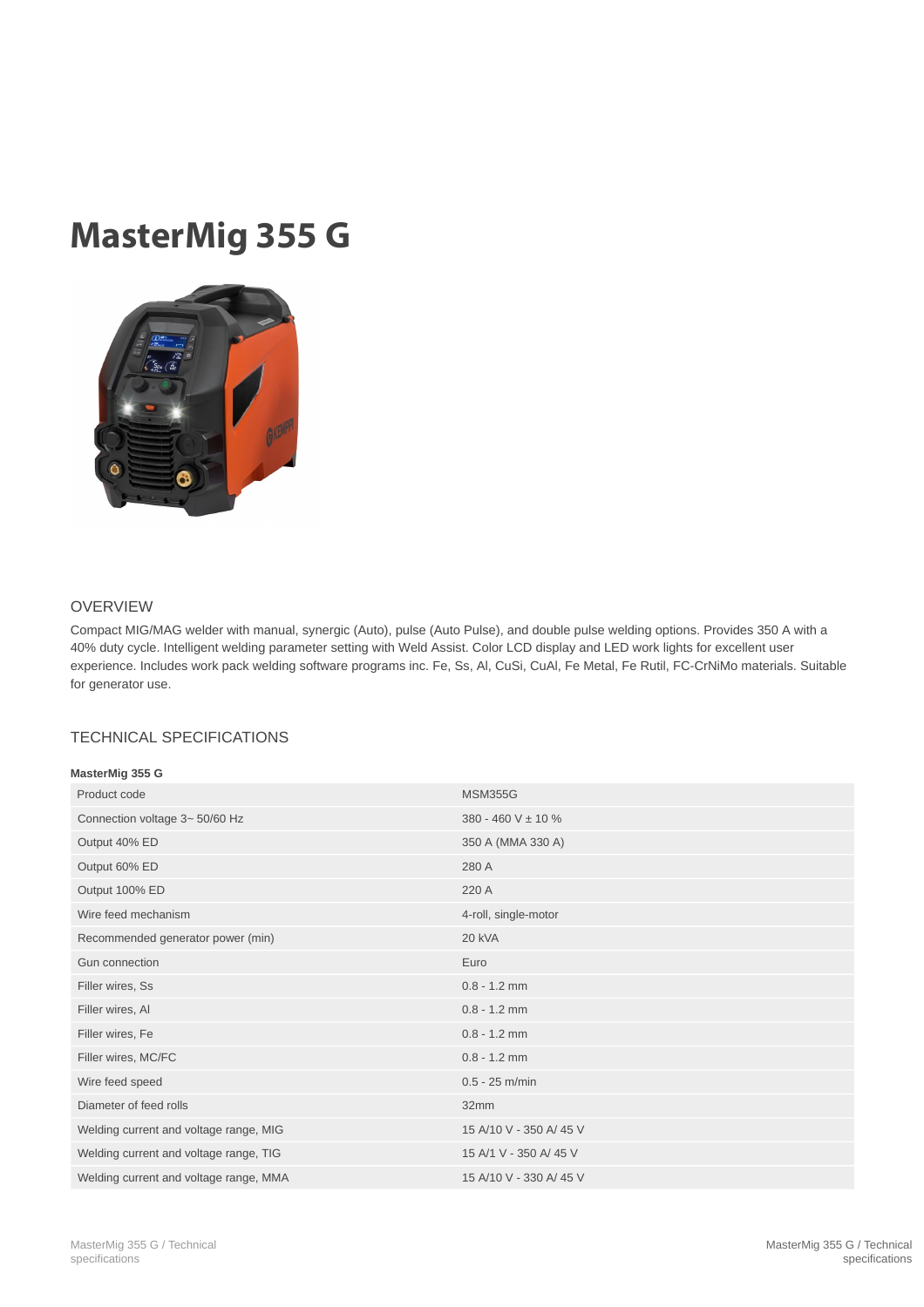## MasterMig 355 G



## OVERVIEW

Compact MIG/MAG welder with manual, synergic (Auto), pulse (Auto Pulse), and double pulse welding options. Provides 350 A with a 40% duty cycle. Intelligent welding parameter setting with Weld Assist. Color LCD display and LED work lights for excellent user experience. Includes work pack welding software programs inc. Fe, Ss, Al, CuSi, CuAl, Fe Metal, Fe Rutil, FC-CrNiMo materials. Suitable for generator use.

## TECHNICAL SPECIFICATIONS

| MasterMig 355 G |  |
|-----------------|--|

| Product code                           | <b>MSM355G</b>          |
|----------------------------------------|-------------------------|
| Connection voltage 3~ 50/60 Hz         | 380 - 460 V $\pm$ 10 %  |
| Output 40% ED                          | 350 A (MMA 330 A)       |
| Output 60% ED                          | 280 A                   |
| Output 100% ED                         | 220 A                   |
| Wire feed mechanism                    | 4-roll, single-motor    |
| Recommended generator power (min)      | <b>20 kVA</b>           |
| Gun connection                         | Euro                    |
| Filler wires, Ss                       | $0.8 - 1.2$ mm          |
| Filler wires, Al                       | $0.8 - 1.2$ mm          |
| Filler wires, Fe                       | $0.8 - 1.2$ mm          |
| Filler wires, MC/FC                    | $0.8 - 1.2$ mm          |
| Wire feed speed                        | $0.5 - 25$ m/min        |
| Diameter of feed rolls                 | 32mm                    |
| Welding current and voltage range, MIG | 15 A/10 V - 350 A/ 45 V |
| Welding current and voltage range, TIG | 15 A/1 V - 350 A/ 45 V  |
| Welding current and voltage range, MMA | 15 A/10 V - 330 A/ 45 V |